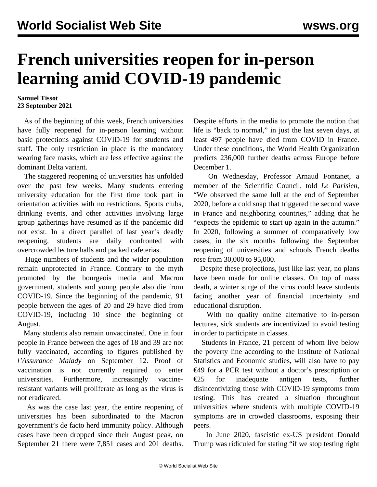## **French universities reopen for in-person learning amid COVID-19 pandemic**

## **Samuel Tissot 23 September 2021**

 As of the beginning of this week, French universities have fully reopened for in-person learning without basic protections against COVID-19 for students and staff. The only restriction in place is the mandatory wearing face masks, which are less effective against the dominant Delta variant.

 The staggered reopening of universities has unfolded over the past few weeks. Many students entering university education for the first time took part in orientation activities with no restrictions. Sports clubs, drinking events, and other activities involving large group gatherings have resumed as if the pandemic did not exist. In a direct parallel of last year's deadly reopening, students are daily confronted with overcrowded lecture halls and packed cafeterias.

 Huge numbers of students and the wider population remain unprotected in France. Contrary to the myth promoted by the bourgeois media and Macron government, students and young people also die from COVID-19. Since the beginning of the pandemic, 91 people between the ages of 20 and 29 have died from COVID-19, including 10 since the beginning of August.

 Many students also remain unvaccinated. One in four people in France between the ages of 18 and 39 are not fully vaccinated, according to figures published by *l'Assurance Malady* on September 12. Proof of vaccination is not currently required to enter universities. Furthermore, increasingly vaccineresistant variants will proliferate as long as the virus is not eradicated.

 As was the case last year, the entire reopening of universities has been subordinated to the Macron government's de facto herd immunity policy. Although cases have been dropped since their August peak, on September 21 there were 7,851 cases and 201 deaths.

Despite efforts in the media to promote the notion that life is "back to normal," in just the last seven days, at least 497 people have died from COVID in France. Under these conditions, the World Health Organization predicts 236,000 further deaths across Europe before December 1.

 On Wednesday, Professor Arnaud Fontanet, a member of the Scientific Council, told *Le Parisien*, "We observed the same lull at the end of September 2020, before a cold snap that triggered the second wave in France and neighboring countries," adding that he "expects the epidemic to start up again in the autumn." In 2020, following a summer of comparatively low cases, in the six months following the September reopening of universities and schools French deaths rose from 30,000 to 95,000.

 Despite these projections, just like last year, no plans have been made for online classes. On top of mass death, a winter surge of the virus could leave students facing another year of financial uncertainty and educational disruption.

 With no quality online alternative to in-person lectures, sick students are incentivized to avoid testing in order to participate in classes.

 Students in France, 21 percent of whom live below the poverty line according to the Institute of National Statistics and Economic studies, will also have to pay €49 for a PCR test without a doctor's prescription or  $\epsilon$ 25 for inadequate antigen tests, further disincentivizing those with COVID-19 symptoms from testing. This has created a situation throughout universities where students with multiple COVID-19 symptoms are in crowded classrooms, exposing their peers.

 In June 2020, fascistic ex-US president Donald Trump was ridiculed for stating "if we stop testing right